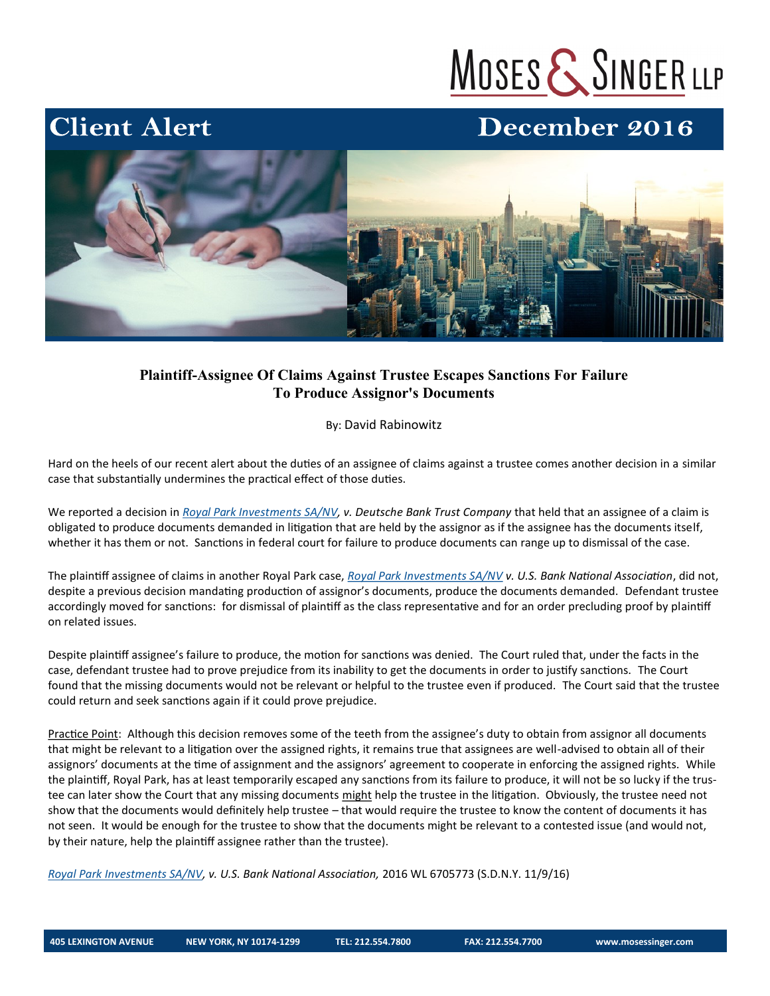# MOSES & SINGER LLP

### December 2016



### **Plaintiff-Assignee Of Claims Against Trustee Escapes Sanctions For Failure To Produce Assignor's Documents**

By: David Rabinowitz

Hard on the heels of our recent alert about the duties of an assignee of claims against a trustee comes another decision in a similar case that substantially undermines the practical effect of those duties.

We reported a decision in *[Royal Park Investments SA/NV,](http://www.westlaw.com/Search/Results.html?query=advanced%3a+OAID%285000833853%29&saveJuris=False&contentType=BUSINESS-INVESTIGATOR&startIndex=1&contextData=%28sc.Default%29&categoryPageUrl=Home%2fCompanyInvestigator&originationContext=document&vr=3.0&rs=cblt) v. Deutsche Bank Trust Company* that held that an assignee of a claim is obligated to produce documents demanded in litigation that are held by the assignor as if the assignee has the documents itself, whether it has them or not. Sanctions in federal court for failure to produce documents can range up to dismissal of the case.

The plaintiff assignee of claims in another Royal Park case, *[Royal Park Investments SA/NV](http://www.westlaw.com/Search/Results.html?query=advanced%3a+OAID%285000833853%29&saveJuris=False&contentType=BUSINESS-INVESTIGATOR&startIndex=1&contextData=%28sc.Default%29&categoryPageUrl=Home%2fCompanyInvestigator&originationContext=document&vr=3.0&rs=cblt) v. U.S. Bank National Association*, did not, despite a previous decision mandating production of assignor's documents, produce the documents demanded. Defendant trustee accordingly moved for sanctions: for dismissal of plaintiff as the class representative and for an order precluding proof by plaintiff on related issues.

Despite plaintiff assignee's failure to produce, the motion for sanctions was denied. The Court ruled that, under the facts in the case, defendant trustee had to prove prejudice from its inability to get the documents in order to justify sanctions. The Court found that the missing documents would not be relevant or helpful to the trustee even if produced. The Court said that the trustee could return and seek sanctions again if it could prove prejudice.

Practice Point: Although this decision removes some of the teeth from the assignee's duty to obtain from assignor all documents that might be relevant to a litigation over the assigned rights, it remains true that assignees are well-advised to obtain all of their assignors' documents at the time of assignment and the assignors' agreement to cooperate in enforcing the assigned rights. While the plaintiff, Royal Park, has at least temporarily escaped any sanctions from its failure to produce, it will not be so lucky if the trustee can later show the Court that any missing documents might help the trustee in the litigation. Obviously, the trustee need not show that the documents would definitely help trustee – that would require the trustee to know the content of documents it has not seen. It would be enough for the trustee to show that the documents might be relevant to a contested issue (and would not, by their nature, help the plaintiff assignee rather than the trustee).

*[Royal Park Investments SA/NV,](http://www.westlaw.com/Search/Results.html?query=advanced%3a+OAID%285000833853%29&saveJuris=False&contentType=BUSINESS-INVESTIGATOR&startIndex=1&contextData=%28sc.Default%29&categoryPageUrl=Home%2fCompanyInvestigator&originationContext=document&vr=3.0&rs=cblt) v. U.S. Bank National Association,* 2016 WL 6705773 (S.D.N.Y. 11/9/16)

**Client Alert**